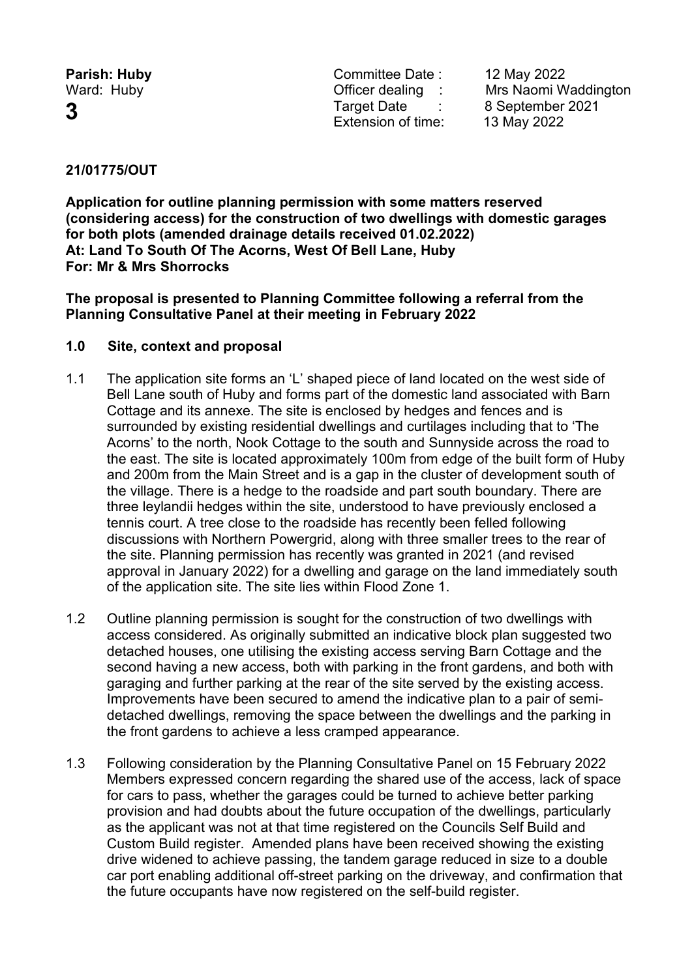**Parish: Huby Parish: Huby Committee Date : 12 May 2022**<br>
Ward: Huby **Committee Date : 12 Mrs Naomi W 3** Target Date : 8 September <sup>2021</sup> Extension of time: 13 May 2022

Ward: Huby **National Contract Contract Contract Contract Contract Contract Contract Contract Contract Contract Contract Contract Contract Contract Contract Contract Contract Contract Contract Contract Contract Contract Con** 

# **21/01775/OUT**

**Application for outline planning permission with some matters reserved (considering access) for the construction of two dwellings with domestic garages for both plots (amended drainage details received 01.02.2022) At: Land To South Of The Acorns, West Of Bell Lane, Huby For: Mr & Mrs Shorrocks**

**The proposal is presented to Planning Committee following a referral from the Planning Consultative Panel at their meeting in February 2022**

### **1.0 Site, context and proposal**

- 1.1 The application site forms an 'L' shaped piece of land located on the west side of Bell Lane south of Huby and forms part of the domestic land associated with Barn Cottage and its annexe. The site is enclosed by hedges and fences and is surrounded by existing residential dwellings and curtilages including that to 'The Acorns' to the north, Nook Cottage to the south and Sunnyside across the road to the east. The site is located approximately 100m from edge of the built form of Huby and 200m from the Main Street and is a gap in the cluster of development south of the village. There is a hedge to the roadside and part south boundary. There are three leylandii hedges within the site, understood to have previously enclosed a tennis court. A tree close to the roadside has recently been felled following discussions with Northern Powergrid, along with three smaller trees to the rear of the site. Planning permission has recently was granted in 2021 (and revised approval in January 2022) for a dwelling and garage on the land immediately south of the application site. The site lies within Flood Zone 1.
- 1.2 Outline planning permission is sought for the construction of two dwellings with access considered. As originally submitted an indicative block plan suggested two detached houses, one utilising the existing access serving Barn Cottage and the second having a new access, both with parking in the front gardens, and both with garaging and further parking at the rear of the site served by the existing access. Improvements have been secured to amend the indicative plan to a pair of semidetached dwellings, removing the space between the dwellings and the parking in the front gardens to achieve a less cramped appearance.
- 1.3 Following consideration by the Planning Consultative Panel on 15 February 2022 Members expressed concern regarding the shared use of the access, lack of space for cars to pass, whether the garages could be turned to achieve better parking provision and had doubts about the future occupation of the dwellings, particularly as the applicant was not at that time registered on the Councils Self Build and Custom Build register. Amended plans have been received showing the existing drive widened to achieve passing, the tandem garage reduced in size to a double car port enabling additional off-street parking on the driveway, and confirmation that the future occupants have now registered on the self-build register.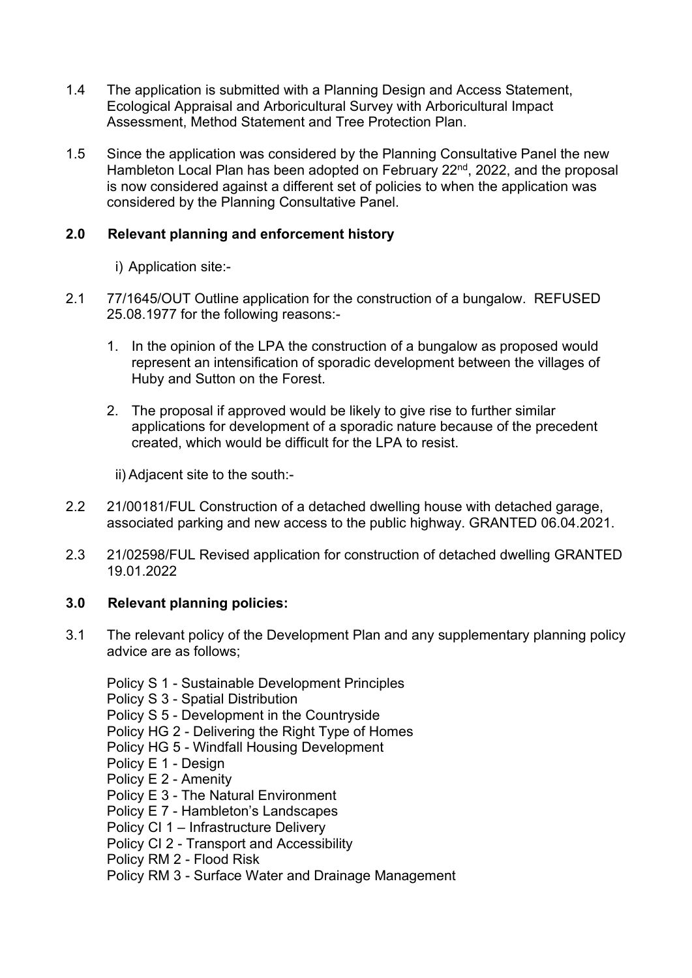- 1.4 The application is submitted with a Planning Design and Access Statement, Ecological Appraisal and Arboricultural Survey with Arboricultural Impact Assessment, Method Statement and Tree Protection Plan.
- 1.5 Since the application was considered by the Planning Consultative Panel the new Hambleton Local Plan has been adopted on February 22<sup>nd</sup>, 2022, and the proposal is now considered against a different set of policies to when the application was considered by the Planning Consultative Panel.

## **2.0 Relevant planning and enforcement history**

- i) Application site:-
- 2.1 77/1645/OUT Outline application for the construction of a bungalow. REFUSED 25.08.1977 for the following reasons:-
	- 1. In the opinion of the LPA the construction of a bungalow as proposed would represent an intensification of sporadic development between the villages of Huby and Sutton on the Forest.
	- 2. The proposal if approved would be likely to give rise to further similar applications for development of a sporadic nature because of the precedent created, which would be difficult for the LPA to resist.

ii) Adjacent site to the south:-

- 2.2 21/00181/FUL Construction of a detached dwelling house with detached garage, associated parking and new access to the public highway. GRANTED 06.04.2021.
- 2.3 21/02598/FUL Revised application for construction of detached dwelling GRANTED 19.01.2022

## **3.0 Relevant planning policies:**

- 3.1 The relevant policy of the Development Plan and any supplementary planning policy advice are as follows;
	- Policy S 1 Sustainable Development Principles
	- Policy S 3 Spatial Distribution
	- Policy S 5 Development in the Countryside
	- Policy HG 2 Delivering the Right Type of Homes
	- Policy HG 5 Windfall Housing Development
	- Policy E 1 Design
	- Policy E 2 Amenity
	- Policy E 3 The Natural Environment
	- Policy E 7 Hambleton's Landscapes
	- Policy CI 1 Infrastructure Delivery
	- Policy CI 2 Transport and Accessibility
	- Policy RM 2 Flood Risk
	- Policy RM 3 Surface Water and Drainage Management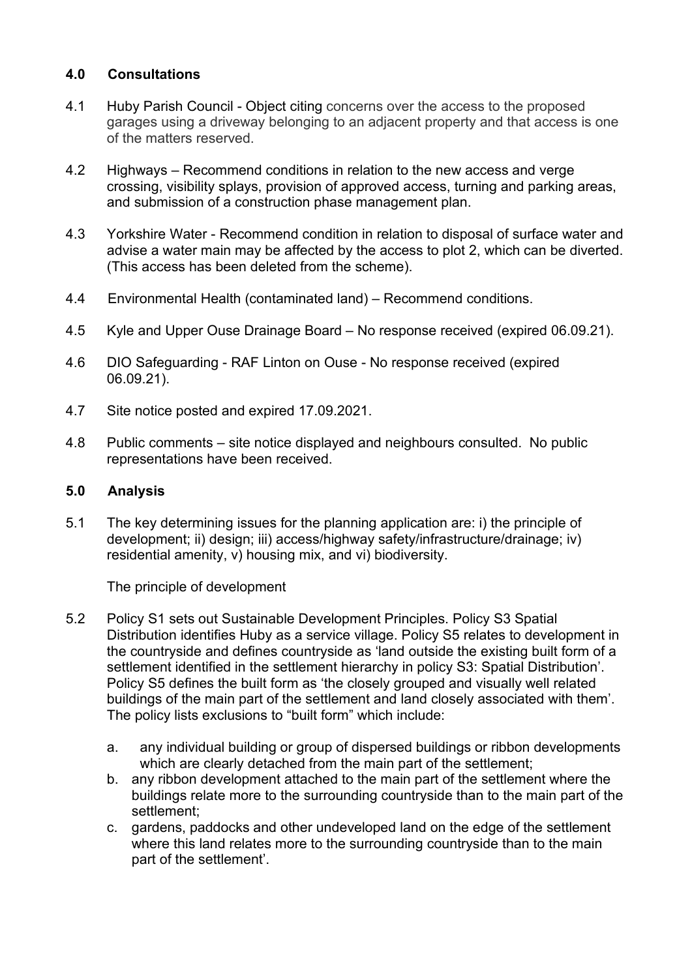### **4.0 Consultations**

- 4.1 Huby Parish Council Object citing concerns over the access to the proposed garages using a driveway belonging to an adjacent property and that access is one of the matters reserved.
- 4.2 Highways Recommend conditions in relation to the new access and verge crossing, visibility splays, provision of approved access, turning and parking areas, and submission of a construction phase management plan.
- 4.3 Yorkshire Water Recommend condition in relation to disposal of surface water and advise a water main may be affected by the access to plot 2, which can be diverted. (This access has been deleted from the scheme).
- 4.4 Environmental Health (contaminated land) Recommend conditions.
- 4.5 Kyle and Upper Ouse Drainage Board No response received (expired 06.09.21).
- 4.6 DIO Safeguarding RAF Linton on Ouse No response received (expired 06.09.21).
- 4.7 Site notice posted and expired 17.09.2021.
- 4.8 Public comments site notice displayed and neighbours consulted. No public representations have been received.

#### **5.0 Analysis**

5.1 The key determining issues for the planning application are: i) the principle of development; ii) design; iii) access/highway safety/infrastructure/drainage; iv) residential amenity, v) housing mix, and vi) biodiversity.

The principle of development

- 5.2 Policy S1 sets out Sustainable Development Principles. Policy S3 Spatial Distribution identifies Huby as a service village. Policy S5 relates to development in the countryside and defines countryside as 'land outside the existing built form of a settlement identified in the settlement hierarchy in policy S3: Spatial Distribution'. Policy S5 defines the built form as 'the closely grouped and visually well related buildings of the main part of the settlement and land closely associated with them'. The policy lists exclusions to "built form" which include:
	- a. any individual building or group of dispersed buildings or ribbon developments which are clearly detached from the main part of the settlement;
	- b. any ribbon development attached to the main part of the settlement where the buildings relate more to the surrounding countryside than to the main part of the settlement;
	- c. gardens, paddocks and other undeveloped land on the edge of the settlement where this land relates more to the surrounding countryside than to the main part of the settlement'.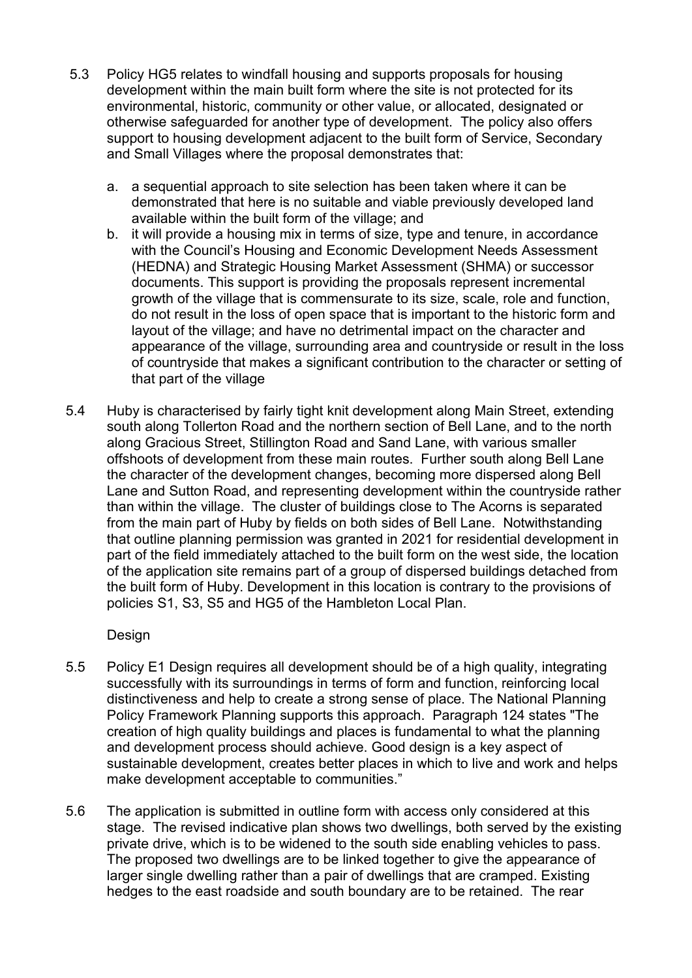- 5.3 Policy HG5 relates to windfall housing and supports proposals for housing development within the main built form where the site is not protected for its environmental, historic, community or other value, or allocated, designated or otherwise safeguarded for another type of development. The policy also offers support to housing development adjacent to the built form of Service, Secondary and Small Villages where the proposal demonstrates that:
	- a. a sequential approach to site selection has been taken where it can be demonstrated that here is no suitable and viable previously developed land available within the built form of the village; and
	- b. it will provide a housing mix in terms of size, type and tenure, in accordance with the Council's Housing and Economic Development Needs Assessment (HEDNA) and Strategic Housing Market Assessment (SHMA) or successor documents. This support is providing the proposals represent incremental growth of the village that is commensurate to its size, scale, role and function, do not result in the loss of open space that is important to the historic form and layout of the village; and have no detrimental impact on the character and appearance of the village, surrounding area and countryside or result in the loss of countryside that makes a significant contribution to the character or setting of that part of the village
- 5.4 Huby is characterised by fairly tight knit development along Main Street, extending south along Tollerton Road and the northern section of Bell Lane, and to the north along Gracious Street, Stillington Road and Sand Lane, with various smaller offshoots of development from these main routes. Further south along Bell Lane the character of the development changes, becoming more dispersed along Bell Lane and Sutton Road, and representing development within the countryside rather than within the village. The cluster of buildings close to The Acorns is separated from the main part of Huby by fields on both sides of Bell Lane. Notwithstanding that outline planning permission was granted in 2021 for residential development in part of the field immediately attached to the built form on the west side, the location of the application site remains part of a group of dispersed buildings detached from the built form of Huby. Development in this location is contrary to the provisions of policies S1, S3, S5 and HG5 of the Hambleton Local Plan.

#### Design

- 5.5 Policy E1 Design requires all development should be of a high quality, integrating successfully with its surroundings in terms of form and function, reinforcing local distinctiveness and help to create a strong sense of place. The National Planning Policy Framework Planning supports this approach. Paragraph 124 states "The creation of high quality buildings and places is fundamental to what the planning and development process should achieve. Good design is a key aspect of sustainable development, creates better places in which to live and work and helps make development acceptable to communities."
- 5.6 The application is submitted in outline form with access only considered at this stage. The revised indicative plan shows two dwellings, both served by the existing private drive, which is to be widened to the south side enabling vehicles to pass. The proposed two dwellings are to be linked together to give the appearance of larger single dwelling rather than a pair of dwellings that are cramped. Existing hedges to the east roadside and south boundary are to be retained. The rear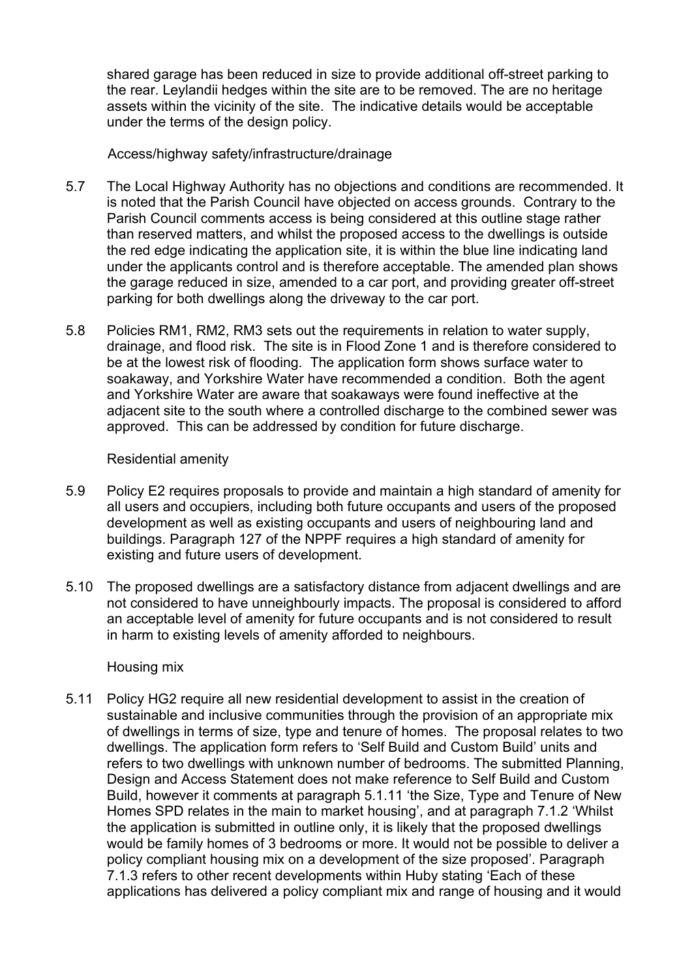shared garage has been reduced in size to provide additional off-street parking to the rear. Leylandii hedges within the site are to be removed. The are no heritage assets within the vicinity of the site. The indicative details would be acceptable under the terms of the design policy.

#### Access/highway safety/infrastructure/drainage

- 5.7 The Local Highway Authority has no objections and conditions are recommended. It is noted that the Parish Council have objected on access grounds. Contrary to the Parish Council comments access is being considered at this outline stage rather than reserved matters, and whilst the proposed access to the dwellings is outside the red edge indicating the application site, it is within the blue line indicating land under the applicants control and is therefore acceptable. The amended plan shows the garage reduced in size, amended to a car port, and providing greater off-street parking for both dwellings along the driveway to the car port.
- 5.8 Policies RM1, RM2, RM3 sets out the requirements in relation to water supply, drainage, and flood risk. The site is in Flood Zone 1 and is therefore considered to be at the lowest risk of flooding. The application form shows surface water to soakaway, and Yorkshire Water have recommended a condition. Both the agent and Yorkshire Water are aware that soakaways were found ineffective at the adjacent site to the south where a controlled discharge to the combined sewer was approved. This can be addressed by condition for future discharge.

#### Residential amenity

- 5.9 Policy E2 requires proposals to provide and maintain a high standard of amenity for all users and occupiers, including both future occupants and users of the proposed development as well as existing occupants and users of neighbouring land and buildings. Paragraph 127 of the NPPF requires a high standard of amenity for existing and future users of development.
- 5.10 The proposed dwellings are a satisfactory distance from adjacent dwellings and are not considered to have unneighbourly impacts. The proposal is considered to afford an acceptable level of amenity for future occupants and is not considered to result in harm to existing levels of amenity afforded to neighbours.

#### Housing mix

5.11 Policy HG2 require all new residential development to assist in the creation of sustainable and inclusive communities through the provision of an appropriate mix of dwellings in terms of size, type and tenure of homes. The proposal relates to two dwellings. The application form refers to 'Self Build and Custom Build' units and refers to two dwellings with unknown number of bedrooms. The submitted Planning, Design and Access Statement does not make reference to Self Build and Custom Build, however it comments at paragraph 5.1.11 'the Size, Type and Tenure of New Homes SPD relates in the main to market housing', and at paragraph 7.1.2 'Whilst the application is submitted in outline only, it is likely that the proposed dwellings would be family homes of 3 bedrooms or more. It would not be possible to deliver a policy compliant housing mix on a development of the size proposed'. Paragraph 7.1.3 refers to other recent developments within Huby stating 'Each of these applications has delivered a policy compliant mix and range of housing and it would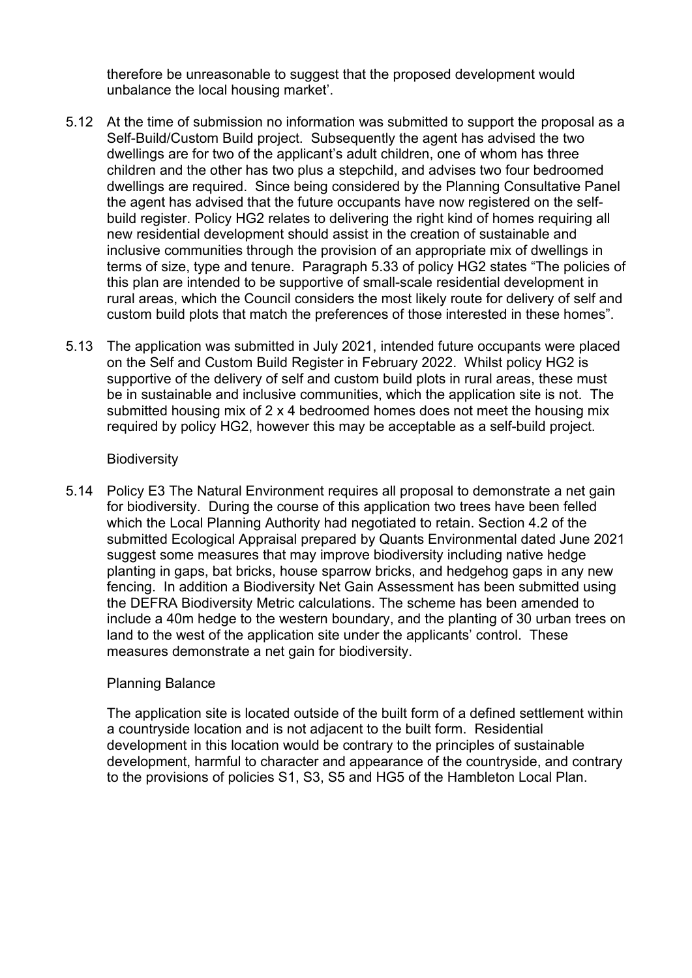therefore be unreasonable to suggest that the proposed development would unbalance the local housing market'.

- 5.12 At the time of submission no information was submitted to support the proposal as a Self-Build/Custom Build project. Subsequently the agent has advised the two dwellings are for two of the applicant's adult children, one of whom has three children and the other has two plus a stepchild, and advises two four bedroomed dwellings are required. Since being considered by the Planning Consultative Panel the agent has advised that the future occupants have now registered on the selfbuild register. Policy HG2 relates to delivering the right kind of homes requiring all new residential development should assist in the creation of sustainable and inclusive communities through the provision of an appropriate mix of dwellings in terms of size, type and tenure. Paragraph 5.33 of policy HG2 states "The policies of this plan are intended to be supportive of small-scale residential development in rural areas, which the Council considers the most likely route for delivery of self and custom build plots that match the preferences of those interested in these homes".
- 5.13 The application was submitted in July 2021, intended future occupants were placed on the Self and Custom Build Register in February 2022. Whilst policy HG2 is supportive of the delivery of self and custom build plots in rural areas, these must be in sustainable and inclusive communities, which the application site is not. The submitted housing mix of 2 x 4 bedroomed homes does not meet the housing mix required by policy HG2, however this may be acceptable as a self-build project.

#### **Biodiversity**

5.14 Policy E3 The Natural Environment requires all proposal to demonstrate a net gain for biodiversity. During the course of this application two trees have been felled which the Local Planning Authority had negotiated to retain. Section 4.2 of the submitted Ecological Appraisal prepared by Quants Environmental dated June 2021 suggest some measures that may improve biodiversity including native hedge planting in gaps, bat bricks, house sparrow bricks, and hedgehog gaps in any new fencing. In addition a Biodiversity Net Gain Assessment has been submitted using the DEFRA Biodiversity Metric calculations. The scheme has been amended to include a 40m hedge to the western boundary, and the planting of 30 urban trees on land to the west of the application site under the applicants' control. These measures demonstrate a net gain for biodiversity.

#### Planning Balance

The application site is located outside of the built form of a defined settlement within a countryside location and is not adjacent to the built form. Residential development in this location would be contrary to the principles of sustainable development, harmful to character and appearance of the countryside, and contrary to the provisions of policies S1, S3, S5 and HG5 of the Hambleton Local Plan.